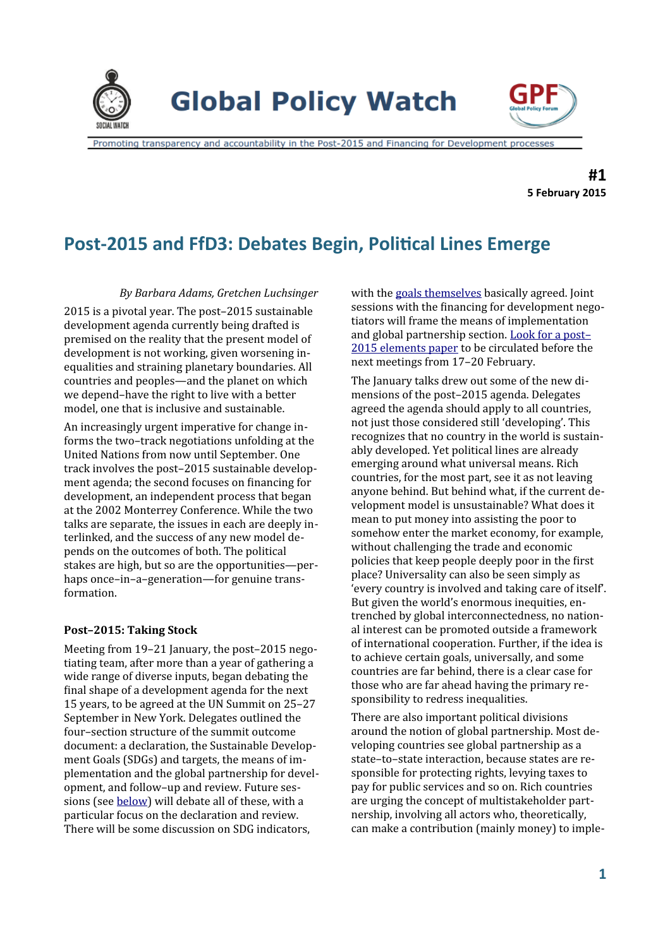

**Global Policy Watch** 



Promoting transparency and accountability in the Post-2015 and Financing for Development processes

**#1 5 February 2015**

# **Post-2015 and FfD3: Debates Begin, Political Lines Emerge**

*By Barbara Adams, Gretchen Luchsinger*

2015 is a pivotal year. The post–2015 sustainable development agenda currently being drafted is premised on the reality that the present model of development is not working, given worsening inequalities and straining planetary boundaries. All countries and peoples—and the planet on which we depend–have the right to live with a better model, one that is inclusive and sustainable.

An increasingly urgent imperative for change informs the two–track negotiations unfolding at the United Nations from now until September. One track involves the post–2015 sustainable development agenda; the second focuses on financing for development, an independent process that began at the 2002 Monterrey Conference. While the two talks are separate, the issues in each are deeply interlinked, and the success of any new model depends on the outcomes of both. The political stakes are high, but so are the opportunities—perhaps once–in–a–generation—for genuine transformation.

# **Post–2015: Taking Stock**

Meeting from 19–21 January, the post–2015 negotiating team, after more than a year of gathering a wide range of diverse inputs, began debating the final shape of a development agenda for the next 15 years, to be agreed at the UN Summit on 25–27 September in New York. Delegates outlined the four–section structure of the summit outcome document: a declaration, the Sustainable Development Goals (SDGs) and targets, the means of implementation and the global partnership for development, and follow–up and review. Future sessions (see [below\)](#page-3-0) will debate all of these, with a particular focus on the declaration and review. There will be some discussion on SDG indicators,

with the [goals themselves](https://sustainabledevelopment.un.org/sdgsproposal) basically agreed. Joint sessions with the financing for development negotiators will frame the means of implementation and global partnership section. [Look for a post–](https://sustainabledevelopment.un.org/index.html) [2015 elements paper](https://sustainabledevelopment.un.org/index.html) to be circulated before the next meetings from 17–20 February.

The January talks drew out some of the new dimensions of the post–2015 agenda. Delegates agreed the agenda should apply to all countries, not just those considered still 'developing'. This recognizes that no country in the world is sustainably developed. Yet political lines are already emerging around what universal means. Rich countries, for the most part, see it as not leaving anyone behind. But behind what, if the current development model is unsustainable? What does it mean to put money into assisting the poor to somehow enter the market economy, for example, without challenging the trade and economic policies that keep people deeply poor in the first place? Universality can also be seen simply as 'every country is involved and taking care of itself'. But given the world's enormous inequities, entrenched by global interconnectedness, no national interest can be promoted outside a framework of international cooperation. Further, if the idea is to achieve certain goals, universally, and some countries are far behind, there is a clear case for those who are far ahead having the primary responsibility to redress inequalities.

There are also important political divisions around the notion of global partnership. Most developing countries see global partnership as a state–to–state interaction, because states are responsible for protecting rights, levying taxes to pay for public services and so on. Rich countries are urging the concept of multistakeholder partnership, involving all actors who, theoretically, can make a contribution (mainly money) to imple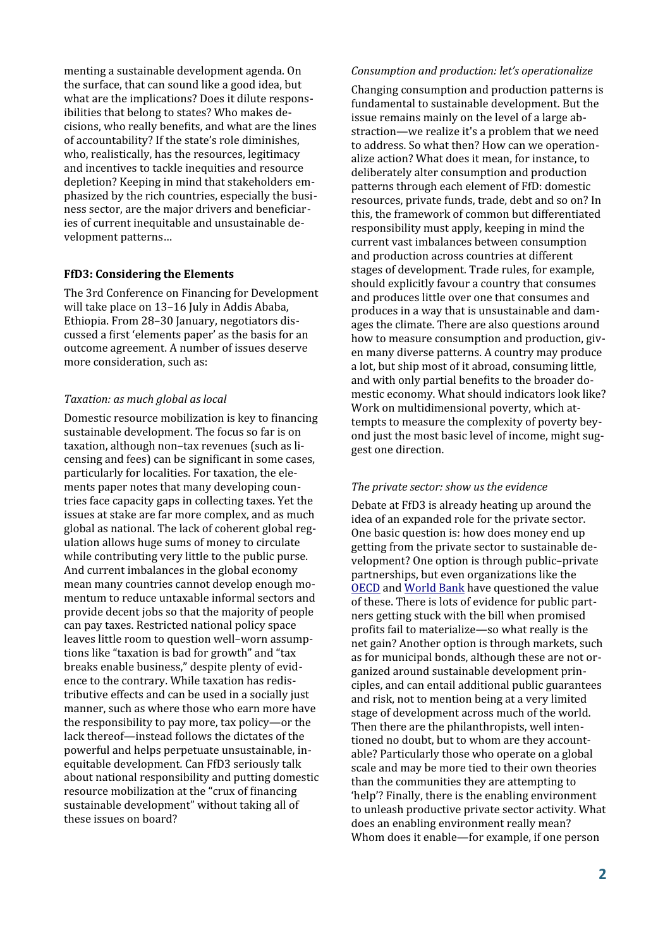menting a sustainable development agenda. On the surface, that can sound like a good idea, but what are the implications? Does it dilute responsibilities that belong to states? Who makes decisions, who really benefits, and what are the lines of accountability? If the state's role diminishes, who, realistically, has the resources, legitimacy and incentives to tackle inequities and resource depletion? Keeping in mind that stakeholders emphasized by the rich countries, especially the business sector, are the major drivers and beneficiaries of current inequitable and unsustainable development patterns…

## **FfD3: Considering the Elements**

The 3rd Conference on Financing for Development will take place on 13-16 July in Addis Ababa, Ethiopia. From 28–30 January, negotiators discussed a first 'elements paper' as the basis for an outcome agreement. A number of issues deserve more consideration, such as:

#### *Taxation: as much global as local*

Domestic resource mobilization is key to financing sustainable development. The focus so far is on taxation, although non–tax revenues (such as licensing and fees) can be significant in some cases, particularly for localities. For taxation, the elements paper notes that many developing countries face capacity gaps in collecting taxes. Yet the issues at stake are far more complex, and as much global as national. The lack of coherent global regulation allows huge sums of money to circulate while contributing very little to the public purse. And current imbalances in the global economy mean many countries cannot develop enough momentum to reduce untaxable informal sectors and provide decent jobs so that the majority of people can pay taxes. Restricted national policy space leaves little room to question well–worn assumptions like "taxation is bad for growth" and "tax breaks enable business," despite plenty of evidence to the contrary. While taxation has redistributive effects and can be used in a socially just manner, such as where those who earn more have the responsibility to pay more, tax policy—or the lack thereof—instead follows the dictates of the powerful and helps perpetuate unsustainable, inequitable development. Can FfD3 seriously talk about national responsibility and putting domestic resource mobilization at the "crux of financing sustainable development" without taking all of these issues on board?

#### *Consumption and production: let's operationalize*

Changing consumption and production patterns is fundamental to sustainable development. But the issue remains mainly on the level of a large abstraction—we realize it's a problem that we need to address. So what then? How can we operationalize action? What does it mean, for instance, to deliberately alter consumption and production patterns through each element of FfD: domestic resources, private funds, trade, debt and so on? In this, the framework of common but differentiated responsibility must apply, keeping in mind the current vast imbalances between consumption and production across countries at different stages of development. Trade rules, for example, should explicitly favour a country that consumes and produces little over one that consumes and produces in a way that is unsustainable and damages the climate. There are also questions around how to measure consumption and production, given many diverse patterns. A country may produce a lot, but ship most of it abroad, consuming little, and with only partial benefits to the broader domestic economy. What should indicators look like? Work on multidimensional poverty, which attempts to measure the complexity of poverty beyond just the most basic level of income, might suggest one direction.

#### *The private sector: show us the evidence*

Debate at FfD3 is already heating up around the idea of an expanded role for the private sector. One basic question is: how does money end up getting from the private sector to sustainable development? One option is through public–private partnerships, but even organizations like the [OECD](http://www.oecd.org/officialdocuments/publicdisplaydocumentpdf/?cote=DCD/WKP(2014)2/PROV&docLanguage=En) and [World Bank](https://www.g20.org/sites/default/files/g20_resources/library/WBG%20IIWG%20Success%20Stories%20Overcoming%20Constraints%20to%20the%20Financing%20of%20Infrastructure.pdf) have questioned the value of these. There is lots of evidence for public partners getting stuck with the bill when promised profits fail to materialize—so what really is the net gain? Another option is through markets, such as for municipal bonds, although these are not organized around sustainable development principles, and can entail additional public guarantees and risk, not to mention being at a very limited stage of development across much of the world. Then there are the philanthropists, well intentioned no doubt, but to whom are they accountable? Particularly those who operate on a global scale and may be more tied to their own theories than the communities they are attempting to 'help'? Finally, there is the enabling environment to unleash productive private sector activity. What does an enabling environment really mean? Whom does it enable—for example, if one person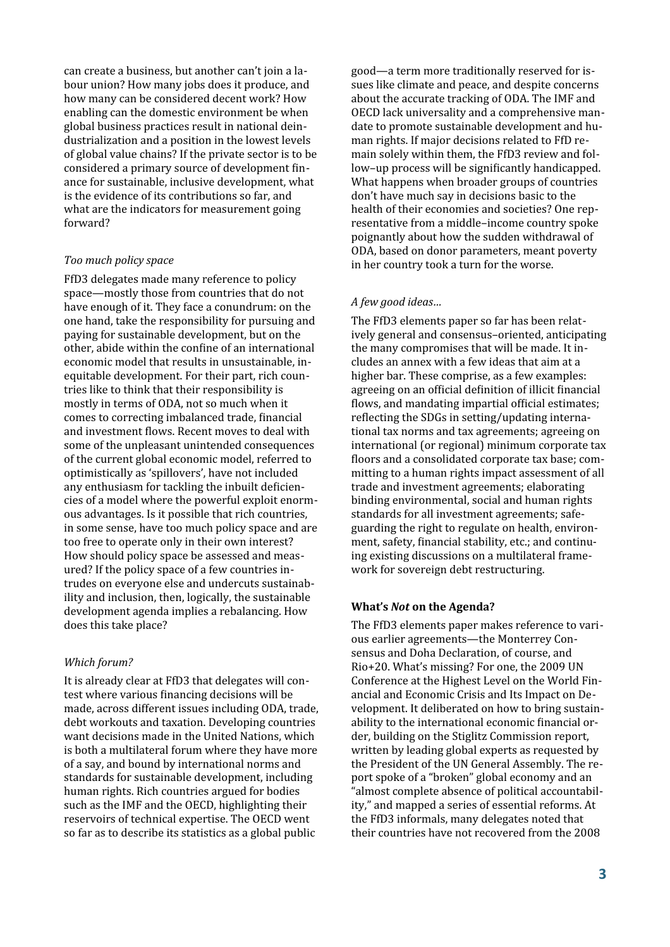can create a business, but another can't join a labour union? How many jobs does it produce, and how many can be considered decent work? How enabling can the domestic environment be when global business practices result in national deindustrialization and a position in the lowest levels of global value chains? If the private sector is to be considered a primary source of development finance for sustainable, inclusive development, what is the evidence of its contributions so far, and what are the indicators for measurement going forward?

#### *Too much policy space*

FfD3 delegates made many reference to policy space—mostly those from countries that do not have enough of it. They face a conundrum: on the one hand, take the responsibility for pursuing and paying for sustainable development, but on the other, abide within the confine of an international economic model that results in unsustainable, inequitable development. For their part, rich countries like to think that their responsibility is mostly in terms of ODA, not so much when it comes to correcting imbalanced trade, financial and investment flows. Recent moves to deal with some of the unpleasant unintended consequences of the current global economic model, referred to optimistically as 'spillovers', have not included any enthusiasm for tackling the inbuilt deficiencies of a model where the powerful exploit enormous advantages. Is it possible that rich countries, in some sense, have too much policy space and are too free to operate only in their own interest? How should policy space be assessed and measured? If the policy space of a few countries intrudes on everyone else and undercuts sustainability and inclusion, then, logically, the sustainable development agenda implies a rebalancing. How does this take place?

# *Which forum?*

It is already clear at FfD3 that delegates will contest where various financing decisions will be made, across different issues including ODA, trade, debt workouts and taxation. Developing countries want decisions made in the United Nations, which is both a multilateral forum where they have more of a say, and bound by international norms and standards for sustainable development, including human rights. Rich countries argued for bodies such as the IMF and the OECD, highlighting their reservoirs of technical expertise. The OECD went so far as to describe its statistics as a global public

good—a term more traditionally reserved for issues like climate and peace, and despite concerns about the accurate tracking of ODA. The IMF and OECD lack universality and a comprehensive mandate to promote sustainable development and human rights. If major decisions related to FfD remain solely within them, the FfD3 review and follow–up process will be significantly handicapped. What happens when broader groups of countries don't have much say in decisions basic to the health of their economies and societies? One representative from a middle–income country spoke poignantly about how the sudden withdrawal of ODA, based on donor parameters, meant poverty in her country took a turn for the worse.

#### *A few good ideas…*

The FfD3 elements paper so far has been relatively general and consensus–oriented, anticipating the many compromises that will be made. It includes an annex with a few ideas that aim at a higher bar. These comprise, as a few examples: agreeing on an official definition of illicit financial flows, and mandating impartial official estimates; reflecting the SDGs in setting/updating international tax norms and tax agreements; agreeing on international (or regional) minimum corporate tax floors and a consolidated corporate tax base; committing to a human rights impact assessment of all trade and investment agreements; elaborating binding environmental, social and human rights standards for all investment agreements; safeguarding the right to regulate on health, environment, safety, financial stability, etc.; and continuing existing discussions on a multilateral framework for sovereign debt restructuring.

#### **What's** *Not* **on the Agenda?**

The FfD3 elements paper makes reference to various earlier agreements—the Monterrey Consensus and Doha Declaration, of course, and Rio+20. What's missing? For one, the 2009 UN Conference at the Highest Level on the World Financial and Economic Crisis and Its Impact on Development. It deliberated on how to bring sustainability to the international economic financial order, building on the Stiglitz Commission report, written by leading global experts as requested by the President of the UN General Assembly. The report spoke of a "broken" global economy and an "almost complete absence of political accountability," and mapped a series of essential reforms. At the FfD3 informals, many delegates noted that their countries have not recovered from the 2008